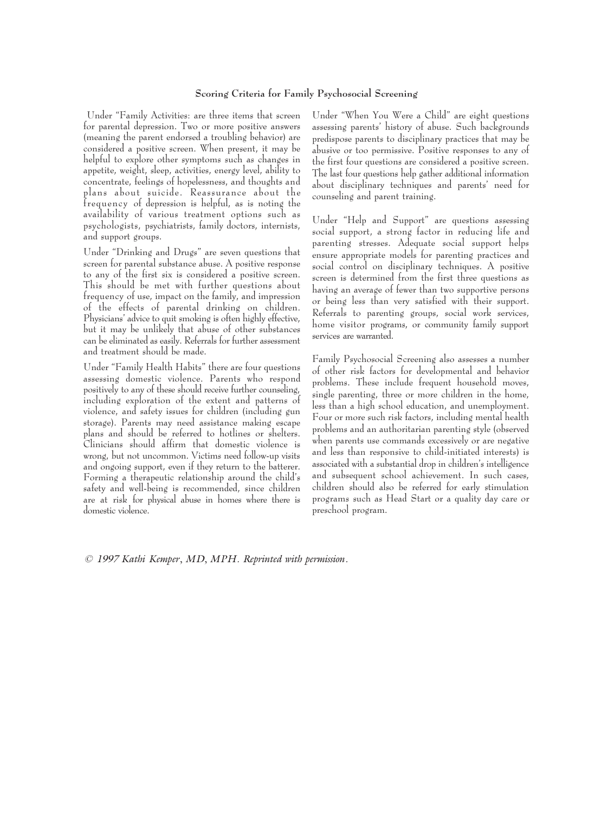## **Scoring Criteria for Family Psychosocial Screening**

Under "Family Activities: are three items that screen for parental depression. Two or more positive answers (meaning the parent endorsed a troubling behavior) are considered a positive screen. When present, it may be helpful to explore other symptoms such as changes in appetite, weight, sleep, activities, energy level, ability to concentrate, feelings of hopelessness, and thoughts and plans about suicide. Reassurance about the frequency of depression is helpful, as is noting the availability of various treatment options such as psychologists, psychiatrists, family doctors, internists, and support groups.

Under "Drinking and Drugs" are seven questions that screen for parental substance abuse. A positive response to any of the first six is considered a positive screen. This should be met with further questions about frequency of use, impact on the family, and impression of the effects of parental drinking on children. Physicians' advice to quit smoking is often highly effective, but it may be unlikely that abuse of other substances can be eliminated as easily. Referrals for further assessment and treatment should be made.

Under "Family Health Habits" there are four questions assessing domestic violence. Parents who respond positively to any of these should receive further counseling, including exploration of the extent and patterns of violence, and safety issues for children (including gun storage). Parents may need assistance making escape plans and should be referred to hotlines or shelters. Clinicians should affirm that domestic violence is wrong, but not uncommon. Victims need follow-up visits and ongoing support, even if they return to the batterer. Forming a therapeutic relationship around the child's safety and well-being is recommended, since children are at risk for physical abuse in homes where there is domestic violence.

Under "When You Were a Child" are eight questions assessing parents' history of abuse. Such backgrounds predispose parents to disciplinary practices that may be abusive or too permissive. Positive responses to any of the first four questions are considered a positive screen. The last four questions help gather additional information about disciplinary techniques and parents' need for counseling and parent training.

Under "Help and Support" are questions assessing social support, a strong factor in reducing life and parenting stresses. Adequate social support helps ensure appropriate models for parenting practices and social control on disciplinary techniques. A positive screen is determined from the first three questions as having an average of fewer than two supportive persons or being less than very satisfied with their support. Referrals to parenting groups, social work services, home visitor programs, or community family support services are warranted.

Family Psychosocial Screening also assesses a number of other risk factors for developmental and behavior problems. These include frequent household moves, single parenting, three or more children in the home, less than a high school education, and unemployment. Four or more such risk factors, including mental health problems and an authoritarian parenting style (observed when parents use commands excessively or are negative and less than responsive to child-initiated interests) is associated with a substantial drop in children's intelligence and subsequent school achievement. In such cases, children should also be referred for early stimulation programs such as Head Start or a quality day care or preschool program.

*© 1997 Kathi Kemper, MD, MPH. Reprinted with permission.*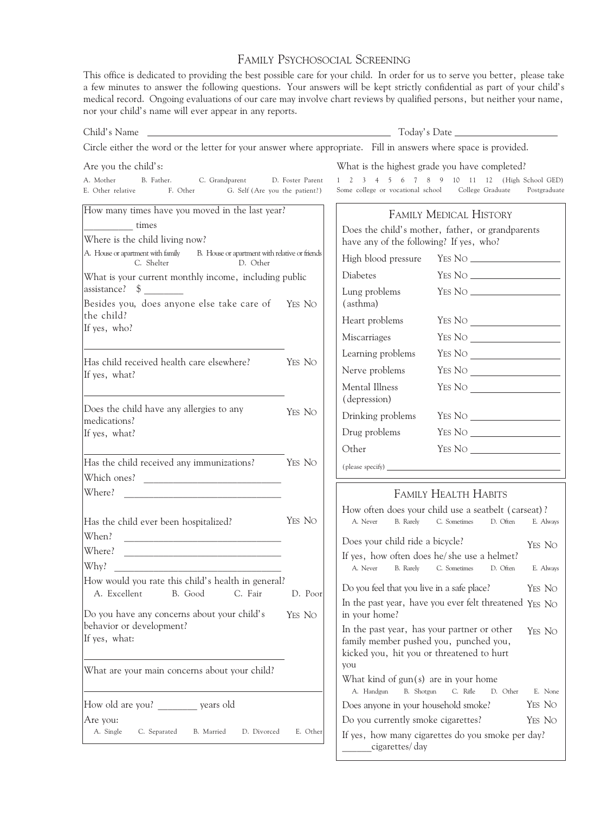## FAMILY PSYCHOSOCIAL SCREENING

This office is dedicated to providing the best possible care for your child. In order for us to serve you better, please take a few minutes to answer the following questions. Your answers will be kept strictly confidential as part of your child's medical record. Ongoing evaluations of our care may involve chart reviews by qualified persons, but neither your name, nor your child's name will ever appear in any reports.

| Child's Name                                                                                                                                                                                             |                                                       |                                                                                                                                              |                                                            |                 |
|----------------------------------------------------------------------------------------------------------------------------------------------------------------------------------------------------------|-------------------------------------------------------|----------------------------------------------------------------------------------------------------------------------------------------------|------------------------------------------------------------|-----------------|
| Circle either the word or the letter for your answer where appropriate. Fill in answers where space is provided.                                                                                         |                                                       |                                                                                                                                              |                                                            |                 |
| Are you the child's:                                                                                                                                                                                     |                                                       | What is the highest grade you have completed?                                                                                                |                                                            |                 |
| A. Mother<br>B. Father.<br>C. Grandparent<br>E. Other relative<br>F. Other<br>G. Self (Are you the patient?)                                                                                             | D. Foster Parent                                      | $1 \t2 \t3$<br>Some college or vocational school                                                                                             | 4 5 6 7 8 9 10 11 12 (High School GED)<br>College Graduate | Postgraduate    |
| How many times have you moved in the last year?<br>times<br>Where is the child living now?<br>A. House or apartment with family B. House or apartment with relative or friends<br>C. Shelter<br>D. Other |                                                       | <b>FAMILY MEDICAL HISTORY</b><br>Does the child's mother, father, or grandparents<br>have any of the following? If yes, who?                 |                                                            |                 |
|                                                                                                                                                                                                          |                                                       |                                                                                                                                              |                                                            |                 |
|                                                                                                                                                                                                          |                                                       | What is your current monthly income, including public                                                                                        |                                                            | <b>Diabetes</b> |
| assistance? \$<br>$\mathcal{L}=\frac{1}{2}$ . The set of $\mathcal{L}=\frac{1}{2}$<br>Besides you, does anyone else take care of                                                                         | YES NO                                                | Lung problems<br>(asthma)                                                                                                                    |                                                            |                 |
| the child?<br>If yes, who?                                                                                                                                                                               |                                                       | Heart problems                                                                                                                               |                                                            |                 |
|                                                                                                                                                                                                          |                                                       | Miscarriages                                                                                                                                 |                                                            |                 |
|                                                                                                                                                                                                          |                                                       | Learning problems                                                                                                                            |                                                            |                 |
| Has child received health care elsewhere?<br>If yes, what?                                                                                                                                               | YES NO                                                | Nerve problems                                                                                                                               |                                                            |                 |
|                                                                                                                                                                                                          |                                                       | Mental Illness<br>(depression)                                                                                                               |                                                            |                 |
| Does the child have any allergies to any<br>medications?                                                                                                                                                 | YES NO                                                |                                                                                                                                              | Drinking problems YES NO                                   |                 |
| If yes, what?                                                                                                                                                                                            |                                                       | Drug problems                                                                                                                                |                                                            |                 |
|                                                                                                                                                                                                          |                                                       | Other                                                                                                                                        |                                                            |                 |
| Has the child received any immunizations?<br>Which ones?                                                                                                                                                 | YES NO                                                |                                                                                                                                              |                                                            |                 |
| Where?                                                                                                                                                                                                   |                                                       |                                                                                                                                              | <b>FAMILY HEALTH HABITS</b>                                |                 |
|                                                                                                                                                                                                          |                                                       | How often does your child use a seatbelt (carseat)?                                                                                          |                                                            |                 |
| Has the child ever been hospitalized?<br>When?                                                                                                                                                           | YES NO                                                | A. Never                                                                                                                                     | B. Rarely C. Sometimes<br>D. Often                         | E. Always       |
| Where?                                                                                                                                                                                                   |                                                       | Does your child ride a bicycle?<br>YES NO<br>If yes, how often does he/she use a helmet?                                                     |                                                            |                 |
| Why?                                                                                                                                                                                                     |                                                       | A. Never<br>B. Rarely                                                                                                                        | C. Sometimes<br>D. Often                                   | E. Always       |
| How would you rate this child's health in general?<br>A. Excellent<br>B. Good<br>C. Fair                                                                                                                 | Do you feel that you live in a safe place?<br>D. Poor |                                                                                                                                              |                                                            | YES NO          |
| Do you have any concerns about your child's<br>behavior or development?                                                                                                                                  | YES NO                                                | In the past year, have you ever felt threatened YES No<br>in your home?                                                                      |                                                            |                 |
| If yes, what:                                                                                                                                                                                            |                                                       | In the past year, has your partner or other<br>YES NO<br>family member pushed you, punched you,<br>kicked you, hit you or threatened to hurt |                                                            |                 |
| What are your main concerns about your child?                                                                                                                                                            |                                                       | you<br>What kind of $gun(s)$ are in your home                                                                                                |                                                            |                 |
|                                                                                                                                                                                                          |                                                       | B. Shotgun<br>A. Handgun                                                                                                                     | C. Rifle<br>D. Other                                       | E. None         |
| How old are you? years old                                                                                                                                                                               |                                                       | Does anyone in your household smoke?                                                                                                         |                                                            | YES NO          |
| Are you:<br>A. Single<br>C. Separated<br>B. Married<br>D. Divorced                                                                                                                                       | E. Other                                              | Do you currently smoke cigarettes?                                                                                                           |                                                            | YES NO          |
|                                                                                                                                                                                                          |                                                       | If yes, how many cigarettes do you smoke per day?<br>cigarettes/day                                                                          |                                                            |                 |